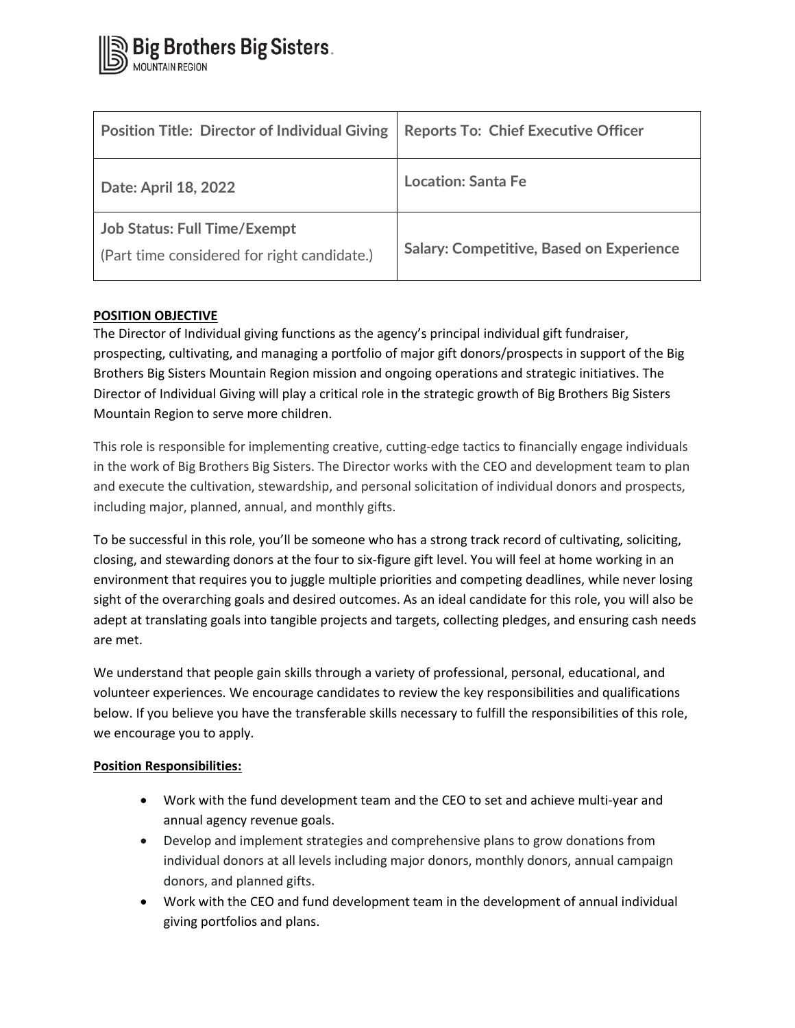| <b>Position Title: Director of Individual Giving</b>                               | <b>Reports To: Chief Executive Officer</b>      |
|------------------------------------------------------------------------------------|-------------------------------------------------|
| Date: April 18, 2022                                                               | <b>Location: Santa Fe</b>                       |
| <b>Job Status: Full Time/Exempt</b><br>(Part time considered for right candidate.) | <b>Salary: Competitive, Based on Experience</b> |

# **POSITION OBJECTIVE**

The Director of Individual giving functions as the agency's principal individual gift fundraiser, prospecting, cultivating, and managing a portfolio of major gift donors/prospects in support of the Big Brothers Big Sisters Mountain Region mission and ongoing operations and strategic initiatives. The Director of Individual Giving will play a critical role in the strategic growth of Big Brothers Big Sisters Mountain Region to serve more children.

This role is responsible for implementing creative, cutting-edge tactics to financially engage individuals in the work of Big Brothers Big Sisters. The Director works with the CEO and development team to plan and execute the cultivation, stewardship, and personal solicitation of individual donors and prospects, including major, planned, annual, and monthly gifts.

To be successful in this role, you'll be someone who has a strong track record of cultivating, soliciting, closing, and stewarding donors at the four to six-figure gift level. You will feel at home working in an environment that requires you to juggle multiple priorities and competing deadlines, while never losing sight of the overarching goals and desired outcomes. As an ideal candidate for this role, you will also be adept at translating goals into tangible projects and targets, collecting pledges, and ensuring cash needs are met.

We understand that people gain skills through a variety of professional, personal, educational, and volunteer experiences. We encourage candidates to review the key responsibilities and qualifications below. If you believe you have the transferable skills necessary to fulfill the responsibilities of this role, we encourage you to apply.

# **Position Responsibilities:**

- Work with the fund development team and the CEO to set and achieve multi-year and annual agency revenue goals.
- Develop and implement strategies and comprehensive plans to grow donations from individual donors at all levels including major donors, monthly donors, annual campaign donors, and planned gifts.
- Work with the CEO and fund development team in the development of annual individual giving portfolios and plans.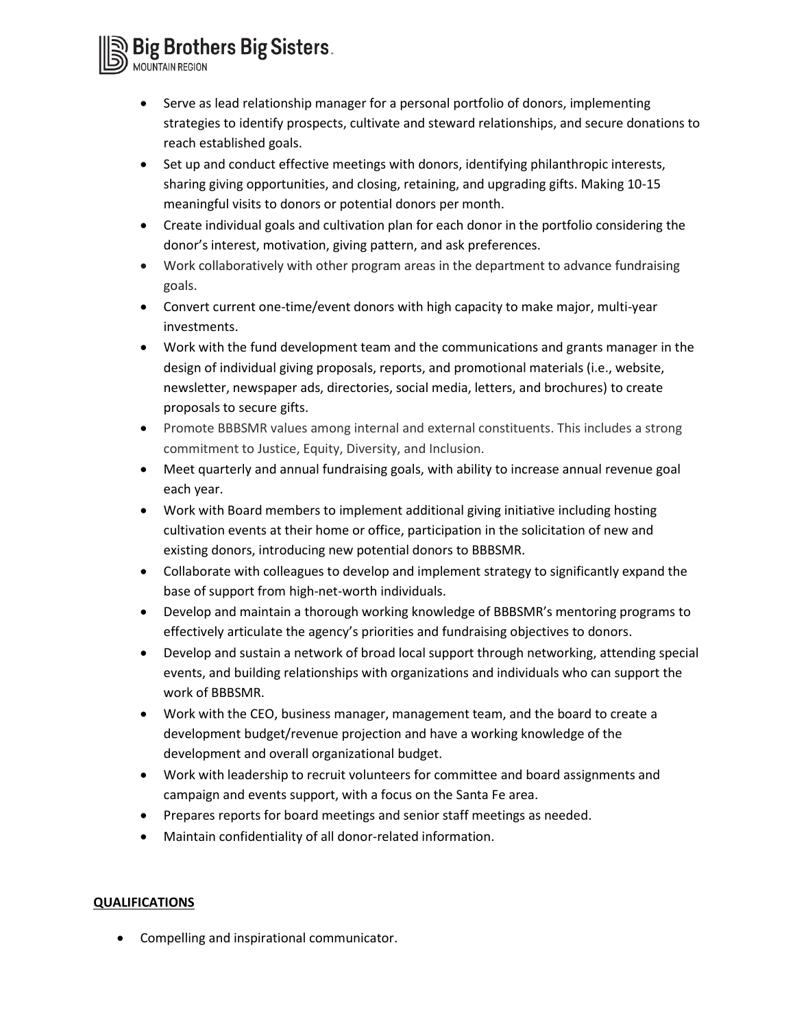Big Brothers Big Sisters.

- Serve as lead relationship manager for a personal portfolio of donors, implementing strategies to identify prospects, cultivate and steward relationships, and secure donations to reach established goals.
- Set up and conduct effective meetings with donors, identifying philanthropic interests, sharing giving opportunities, and closing, retaining, and upgrading gifts. Making 10-15 meaningful visits to donors or potential donors per month.
- Create individual goals and cultivation plan for each donor in the portfolio considering the donor's interest, motivation, giving pattern, and ask preferences.
- Work collaboratively with other program areas in the department to advance fundraising goals.
- Convert current one-time/event donors with high capacity to make major, multi-year investments.
- Work with the fund development team and the communications and grants manager in the design of individual giving proposals, reports, and promotional materials (i.e., website, newsletter, newspaper ads, directories, social media, letters, and brochures) to create proposals to secure gifts.
- Promote BBBSMR values among internal and external constituents. This includes a strong commitment to Justice, Equity, Diversity, and Inclusion.
- Meet quarterly and annual fundraising goals, with ability to increase annual revenue goal each year.
- Work with Board members to implement additional giving initiative including hosting cultivation events at their home or office, participation in the solicitation of new and existing donors, introducing new potential donors to BBBSMR.
- Collaborate with colleagues to develop and implement strategy to significantly expand the base of support from high-net-worth individuals.
- Develop and maintain a thorough working knowledge of BBBSMR's mentoring programs to effectively articulate the agency's priorities and fundraising objectives to donors.
- Develop and sustain a network of broad local support through networking, attending special events, and building relationships with organizations and individuals who can support the work of BBBSMR.
- Work with the CEO, business manager, management team, and the board to create a development budget/revenue projection and have a working knowledge of the development and overall organizational budget.
- Work with leadership to recruit volunteers for committee and board assignments and campaign and events support, with a focus on the Santa Fe area.
- Prepares reports for board meetings and senior staff meetings as needed.
- Maintain confidentiality of all donor-related information.

## **QUALIFICATIONS**

• Compelling and inspirational communicator.